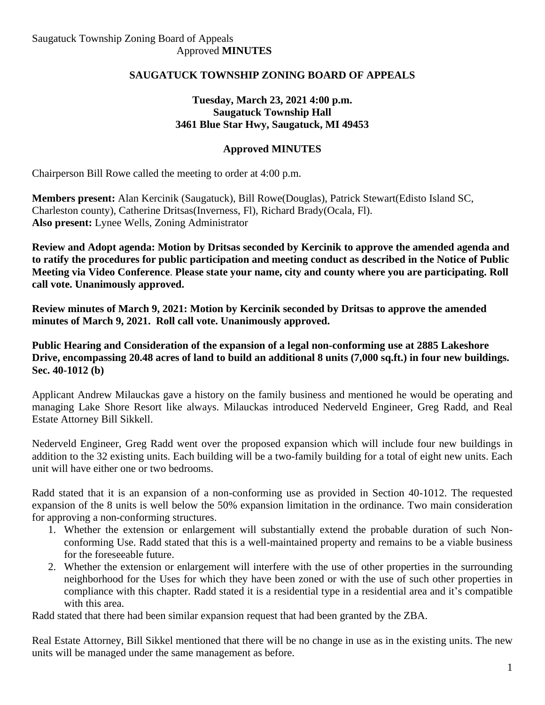## **SAUGATUCK TOWNSHIP ZONING BOARD OF APPEALS**

### **Tuesday, March 23, 2021 4:00 p.m. Saugatuck Township Hall 3461 Blue Star Hwy, Saugatuck, MI 49453**

## **Approved MINUTES**

Chairperson Bill Rowe called the meeting to order at 4:00 p.m.

**Members present:** Alan Kercinik (Saugatuck), Bill Rowe(Douglas), Patrick Stewart(Edisto Island SC, Charleston county), Catherine Dritsas(Inverness, Fl), Richard Brady(Ocala, Fl). **Also present:** Lynee Wells, Zoning Administrator

**Review and Adopt agenda: Motion by Dritsas seconded by Kercinik to approve the amended agenda and to ratify the procedures for public participation and meeting conduct as described in the Notice of Public Meeting via Video Conference**. **Please state your name, city and county where you are participating. Roll call vote. Unanimously approved.**

**Review minutes of March 9, 2021: Motion by Kercinik seconded by Dritsas to approve the amended minutes of March 9, 2021. Roll call vote. Unanimously approved.**

**Public Hearing and Consideration of the expansion of a legal non-conforming use at 2885 Lakeshore Drive, encompassing 20.48 acres of land to build an additional 8 units (7,000 sq.ft.) in four new buildings. Sec. 40-1012 (b)** 

Applicant Andrew Milauckas gave a history on the family business and mentioned he would be operating and managing Lake Shore Resort like always. Milauckas introduced Nederveld Engineer, Greg Radd, and Real Estate Attorney Bill Sikkell.

Nederveld Engineer, Greg Radd went over the proposed expansion which will include four new buildings in addition to the 32 existing units. Each building will be a two-family building for a total of eight new units. Each unit will have either one or two bedrooms.

Radd stated that it is an expansion of a non-conforming use as provided in Section 40-1012. The requested expansion of the 8 units is well below the 50% expansion limitation in the ordinance. Two main consideration for approving a non-conforming structures.

- 1. Whether the extension or enlargement will substantially extend the probable duration of such Nonconforming Use. Radd stated that this is a well-maintained property and remains to be a viable business for the foreseeable future.
- 2. Whether the extension or enlargement will interfere with the use of other properties in the surrounding neighborhood for the Uses for which they have been zoned or with the use of such other properties in compliance with this chapter. Radd stated it is a residential type in a residential area and it's compatible with this area.

Radd stated that there had been similar expansion request that had been granted by the ZBA.

Real Estate Attorney, Bill Sikkel mentioned that there will be no change in use as in the existing units. The new units will be managed under the same management as before.